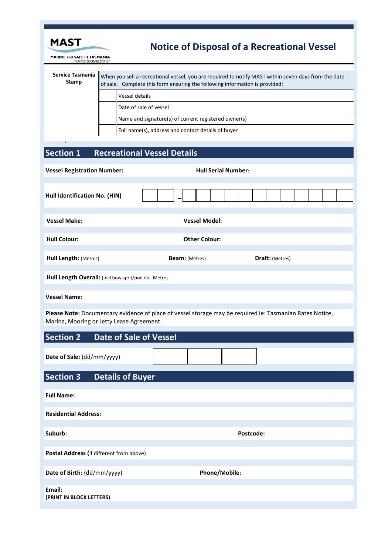

•

## **Notice of Disposal of a Recreational Vessel**

**MARINE and SAFETY TASMANIA**<br>making boating better

| Service Tasmania<br><b>Stamp</b> | When you sell a recreational vessel, you are required to notify MAST within seven days from the date<br>of sale. Complete this form ensuring the following information is provided: |                                                      |  |
|----------------------------------|-------------------------------------------------------------------------------------------------------------------------------------------------------------------------------------|------------------------------------------------------|--|
|                                  |                                                                                                                                                                                     | Vessel details                                       |  |
|                                  |                                                                                                                                                                                     | Date of sale of vessel                               |  |
|                                  |                                                                                                                                                                                     | Name and signature(s) of current registered owner(s) |  |
|                                  |                                                                                                                                                                                     | Full name(s), address and contact details of buyer   |  |

## **Section 1 Recreational Vessel Details**

| <b>Vessel Registration Number:</b>                                                                                                                   | <b>Hull Serial Number:</b> |                 |  |  |  |
|------------------------------------------------------------------------------------------------------------------------------------------------------|----------------------------|-----------------|--|--|--|
| Hull Identification No. (HIN)                                                                                                                        |                            |                 |  |  |  |
| <b>Vessel Make:</b>                                                                                                                                  | <b>Vessel Model:</b>       |                 |  |  |  |
| <b>Hull Colour:</b>                                                                                                                                  | <b>Other Colour:</b>       |                 |  |  |  |
| Hull Length: (Metres)                                                                                                                                | <b>Beam:</b> (Metres)      | Draft: (Metres) |  |  |  |
| Hull Length Overall: (Incl bow sprit/pod etc. Metres                                                                                                 |                            |                 |  |  |  |
| <b>Vessel Name:</b>                                                                                                                                  |                            |                 |  |  |  |
| Please Note: Documentary evidence of place of vessel storage may be required ie: Tasmanian Rates Notice,<br>Marina, Mooring or Jetty Lease Agreement |                            |                 |  |  |  |
| <b>Section 2</b><br><b>Date of Sale of Vessel</b>                                                                                                    |                            |                 |  |  |  |
| Date of Sale: (dd/mm/yyyy)                                                                                                                           |                            |                 |  |  |  |
| <b>Section 3</b><br><b>Details of Buyer</b>                                                                                                          |                            |                 |  |  |  |
| <b>Full Name:</b>                                                                                                                                    |                            |                 |  |  |  |
| <b>Residential Address:</b>                                                                                                                          |                            |                 |  |  |  |
| Suburb:                                                                                                                                              | Postcode:                  |                 |  |  |  |
| Postal Address (if different from above)                                                                                                             |                            |                 |  |  |  |
| Date of Birth: (dd/mm/yyyy)                                                                                                                          | Phone/Mobile:              |                 |  |  |  |
| Email:<br>(PRINT IN BLOCK LETTERS)                                                                                                                   |                            |                 |  |  |  |